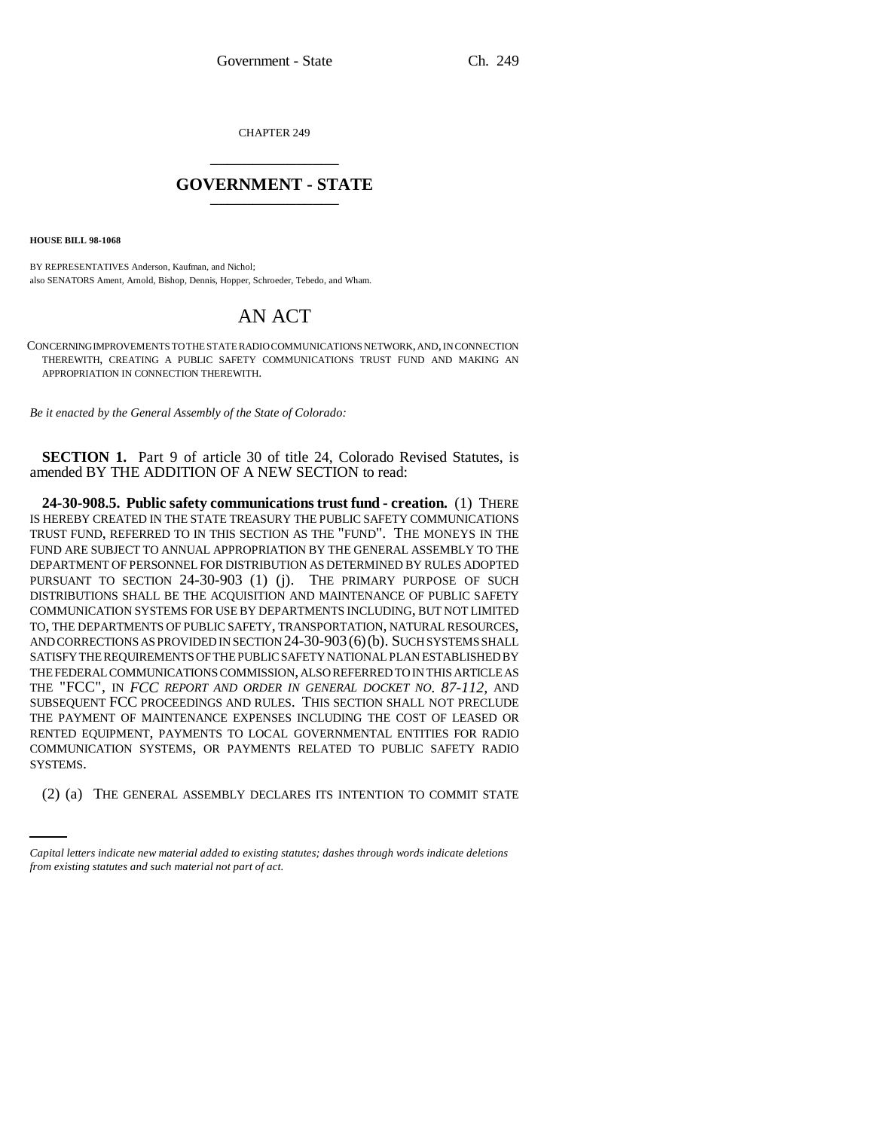CHAPTER 249 \_\_\_\_\_\_\_\_\_\_\_\_\_\_\_

## **GOVERNMENT - STATE** \_\_\_\_\_\_\_\_\_\_\_\_\_\_\_

**HOUSE BILL 98-1068**

BY REPRESENTATIVES Anderson, Kaufman, and Nichol; also SENATORS Ament, Arnold, Bishop, Dennis, Hopper, Schroeder, Tebedo, and Wham.

## AN ACT

CONCERNING IMPROVEMENTS TO THE STATE RADIO COMMUNICATIONS NETWORK, AND, IN CONNECTION THEREWITH, CREATING A PUBLIC SAFETY COMMUNICATIONS TRUST FUND AND MAKING AN APPROPRIATION IN CONNECTION THEREWITH.

*Be it enacted by the General Assembly of the State of Colorado:*

**SECTION 1.** Part 9 of article 30 of title 24, Colorado Revised Statutes, is amended BY THE ADDITION OF A NEW SECTION to read:

SYSTEMS. **24-30-908.5. Public safety communications trust fund - creation.** (1) THERE IS HEREBY CREATED IN THE STATE TREASURY THE PUBLIC SAFETY COMMUNICATIONS TRUST FUND, REFERRED TO IN THIS SECTION AS THE "FUND". THE MONEYS IN THE FUND ARE SUBJECT TO ANNUAL APPROPRIATION BY THE GENERAL ASSEMBLY TO THE DEPARTMENT OF PERSONNEL FOR DISTRIBUTION AS DETERMINED BY RULES ADOPTED PURSUANT TO SECTION 24-30-903 (1) (j). THE PRIMARY PURPOSE OF SUCH DISTRIBUTIONS SHALL BE THE ACQUISITION AND MAINTENANCE OF PUBLIC SAFETY COMMUNICATION SYSTEMS FOR USE BY DEPARTMENTS INCLUDING, BUT NOT LIMITED TO, THE DEPARTMENTS OF PUBLIC SAFETY, TRANSPORTATION, NATURAL RESOURCES, AND CORRECTIONS AS PROVIDED IN SECTION 24-30-903(6)(b). SUCH SYSTEMS SHALL SATISFY THE REQUIREMENTS OF THE PUBLIC SAFETY NATIONAL PLAN ESTABLISHED BY THE FEDERAL COMMUNICATIONS COMMISSION, ALSO REFERRED TO IN THIS ARTICLE AS THE "FCC", IN *FCC REPORT AND ORDER IN GENERAL DOCKET NO. 87-112,* AND SUBSEQUENT FCC PROCEEDINGS AND RULES. THIS SECTION SHALL NOT PRECLUDE THE PAYMENT OF MAINTENANCE EXPENSES INCLUDING THE COST OF LEASED OR RENTED EQUIPMENT, PAYMENTS TO LOCAL GOVERNMENTAL ENTITIES FOR RADIO COMMUNICATION SYSTEMS, OR PAYMENTS RELATED TO PUBLIC SAFETY RADIO

(2) (a) THE GENERAL ASSEMBLY DECLARES ITS INTENTION TO COMMIT STATE

*Capital letters indicate new material added to existing statutes; dashes through words indicate deletions from existing statutes and such material not part of act.*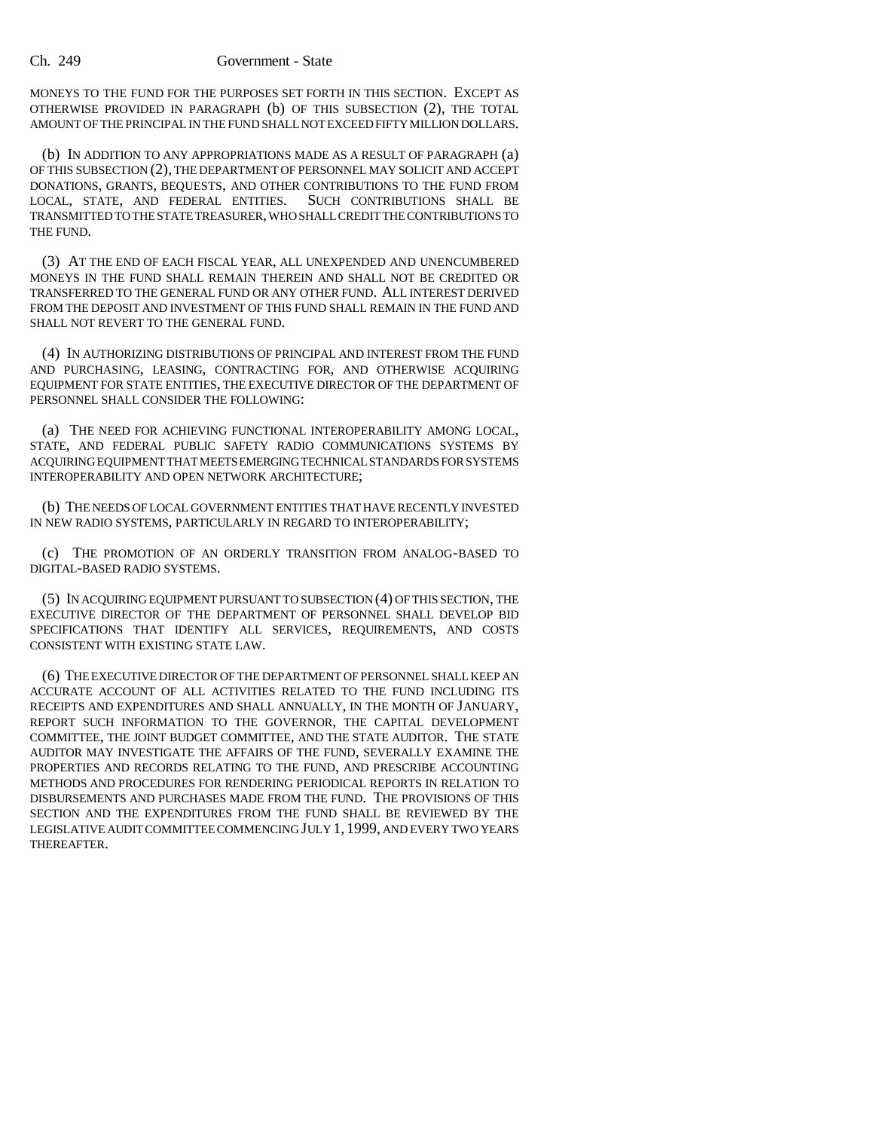## Ch. 249 Government - State

MONEYS TO THE FUND FOR THE PURPOSES SET FORTH IN THIS SECTION. EXCEPT AS OTHERWISE PROVIDED IN PARAGRAPH (b) OF THIS SUBSECTION (2), THE TOTAL AMOUNT OF THE PRINCIPAL IN THE FUND SHALL NOT EXCEED FIFTY MILLION DOLLARS.

(b) IN ADDITION TO ANY APPROPRIATIONS MADE AS A RESULT OF PARAGRAPH (a) OF THIS SUBSECTION (2), THE DEPARTMENT OF PERSONNEL MAY SOLICIT AND ACCEPT DONATIONS, GRANTS, BEQUESTS, AND OTHER CONTRIBUTIONS TO THE FUND FROM LOCAL, STATE, AND FEDERAL ENTITIES. SUCH CONTRIBUTIONS SHALL BE TRANSMITTED TO THE STATE TREASURER, WHO SHALL CREDIT THE CONTRIBUTIONS TO THE FUND.

(3) AT THE END OF EACH FISCAL YEAR, ALL UNEXPENDED AND UNENCUMBERED MONEYS IN THE FUND SHALL REMAIN THEREIN AND SHALL NOT BE CREDITED OR TRANSFERRED TO THE GENERAL FUND OR ANY OTHER FUND. ALL INTEREST DERIVED FROM THE DEPOSIT AND INVESTMENT OF THIS FUND SHALL REMAIN IN THE FUND AND SHALL NOT REVERT TO THE GENERAL FUND.

(4) IN AUTHORIZING DISTRIBUTIONS OF PRINCIPAL AND INTEREST FROM THE FUND AND PURCHASING, LEASING, CONTRACTING FOR, AND OTHERWISE ACQUIRING EQUIPMENT FOR STATE ENTITIES, THE EXECUTIVE DIRECTOR OF THE DEPARTMENT OF PERSONNEL SHALL CONSIDER THE FOLLOWING:

(a) THE NEED FOR ACHIEVING FUNCTIONAL INTEROPERABILITY AMONG LOCAL, STATE, AND FEDERAL PUBLIC SAFETY RADIO COMMUNICATIONS SYSTEMS BY ACQUIRING EQUIPMENT THAT MEETS EMERGING TECHNICAL STANDARDS FOR SYSTEMS INTEROPERABILITY AND OPEN NETWORK ARCHITECTURE;

(b) THE NEEDS OF LOCAL GOVERNMENT ENTITIES THAT HAVE RECENTLY INVESTED IN NEW RADIO SYSTEMS, PARTICULARLY IN REGARD TO INTEROPERABILITY;

(c) THE PROMOTION OF AN ORDERLY TRANSITION FROM ANALOG-BASED TO DIGITAL-BASED RADIO SYSTEMS.

(5) IN ACQUIRING EQUIPMENT PURSUANT TO SUBSECTION (4) OF THIS SECTION, THE EXECUTIVE DIRECTOR OF THE DEPARTMENT OF PERSONNEL SHALL DEVELOP BID SPECIFICATIONS THAT IDENTIFY ALL SERVICES, REQUIREMENTS, AND COSTS CONSISTENT WITH EXISTING STATE LAW.

(6) THE EXECUTIVE DIRECTOR OF THE DEPARTMENT OF PERSONNEL SHALL KEEP AN ACCURATE ACCOUNT OF ALL ACTIVITIES RELATED TO THE FUND INCLUDING ITS RECEIPTS AND EXPENDITURES AND SHALL ANNUALLY, IN THE MONTH OF JANUARY, REPORT SUCH INFORMATION TO THE GOVERNOR, THE CAPITAL DEVELOPMENT COMMITTEE, THE JOINT BUDGET COMMITTEE, AND THE STATE AUDITOR. THE STATE AUDITOR MAY INVESTIGATE THE AFFAIRS OF THE FUND, SEVERALLY EXAMINE THE PROPERTIES AND RECORDS RELATING TO THE FUND, AND PRESCRIBE ACCOUNTING METHODS AND PROCEDURES FOR RENDERING PERIODICAL REPORTS IN RELATION TO DISBURSEMENTS AND PURCHASES MADE FROM THE FUND. THE PROVISIONS OF THIS SECTION AND THE EXPENDITURES FROM THE FUND SHALL BE REVIEWED BY THE LEGISLATIVE AUDIT COMMITTEE COMMENCING JULY 1, 1999, AND EVERY TWO YEARS THEREAFTER.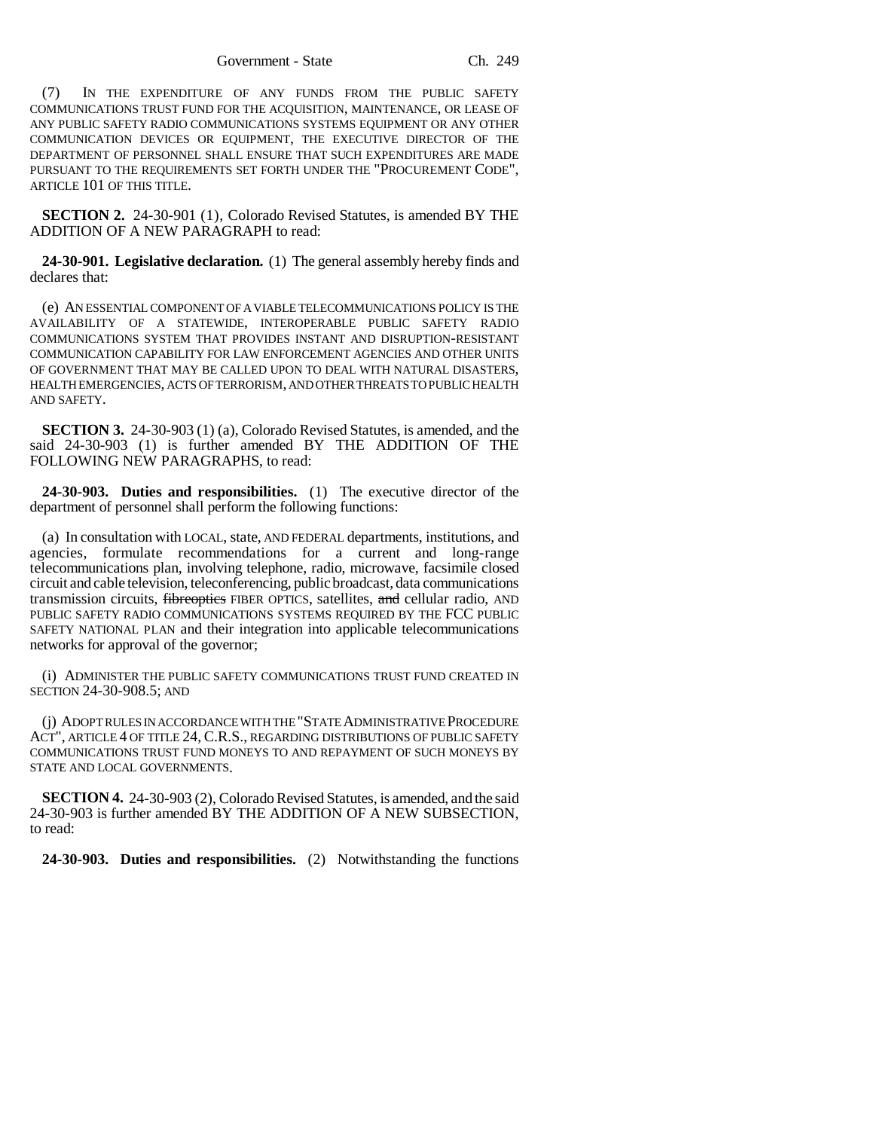Government - State Ch. 249

(7) IN THE EXPENDITURE OF ANY FUNDS FROM THE PUBLIC SAFETY COMMUNICATIONS TRUST FUND FOR THE ACQUISITION, MAINTENANCE, OR LEASE OF ANY PUBLIC SAFETY RADIO COMMUNICATIONS SYSTEMS EQUIPMENT OR ANY OTHER COMMUNICATION DEVICES OR EQUIPMENT, THE EXECUTIVE DIRECTOR OF THE DEPARTMENT OF PERSONNEL SHALL ENSURE THAT SUCH EXPENDITURES ARE MADE PURSUANT TO THE REQUIREMENTS SET FORTH UNDER THE "PROCUREMENT CODE", ARTICLE 101 OF THIS TITLE.

**SECTION 2.** 24-30-901 (1), Colorado Revised Statutes, is amended BY THE ADDITION OF A NEW PARAGRAPH to read:

**24-30-901. Legislative declaration.** (1) The general assembly hereby finds and declares that:

(e) AN ESSENTIAL COMPONENT OF A VIABLE TELECOMMUNICATIONS POLICY IS THE AVAILABILITY OF A STATEWIDE, INTEROPERABLE PUBLIC SAFETY RADIO COMMUNICATIONS SYSTEM THAT PROVIDES INSTANT AND DISRUPTION-RESISTANT COMMUNICATION CAPABILITY FOR LAW ENFORCEMENT AGENCIES AND OTHER UNITS OF GOVERNMENT THAT MAY BE CALLED UPON TO DEAL WITH NATURAL DISASTERS, HEALTH EMERGENCIES, ACTS OF TERRORISM, AND OTHER THREATS TO PUBLIC HEALTH AND SAFETY.

**SECTION 3.** 24-30-903 (1) (a), Colorado Revised Statutes, is amended, and the said 24-30-903 (1) is further amended BY THE ADDITION OF THE FOLLOWING NEW PARAGRAPHS, to read:

**24-30-903. Duties and responsibilities.** (1) The executive director of the department of personnel shall perform the following functions:

(a) In consultation with LOCAL, state, AND FEDERAL departments, institutions, and agencies, formulate recommendations for a current and long-range telecommunications plan, involving telephone, radio, microwave, facsimile closed circuit and cable television, teleconferencing, public broadcast, data communications transmission circuits, fibreoptics FIBER OPTICS, satellites, and cellular radio, AND PUBLIC SAFETY RADIO COMMUNICATIONS SYSTEMS REQUIRED BY THE FCC PUBLIC SAFETY NATIONAL PLAN and their integration into applicable telecommunications networks for approval of the governor;

(i) ADMINISTER THE PUBLIC SAFETY COMMUNICATIONS TRUST FUND CREATED IN SECTION 24-30-908.5; AND

(j) ADOPT RULES IN ACCORDANCE WITH THE "STATE ADMINISTRATIVE PROCEDURE ACT", ARTICLE 4 OF TITLE 24, C.R.S., REGARDING DISTRIBUTIONS OF PUBLIC SAFETY COMMUNICATIONS TRUST FUND MONEYS TO AND REPAYMENT OF SUCH MONEYS BY STATE AND LOCAL GOVERNMENTS.

**SECTION 4.** 24-30-903 (2), Colorado Revised Statutes, is amended, and the said 24-30-903 is further amended BY THE ADDITION OF A NEW SUBSECTION, to read:

**24-30-903. Duties and responsibilities.** (2) Notwithstanding the functions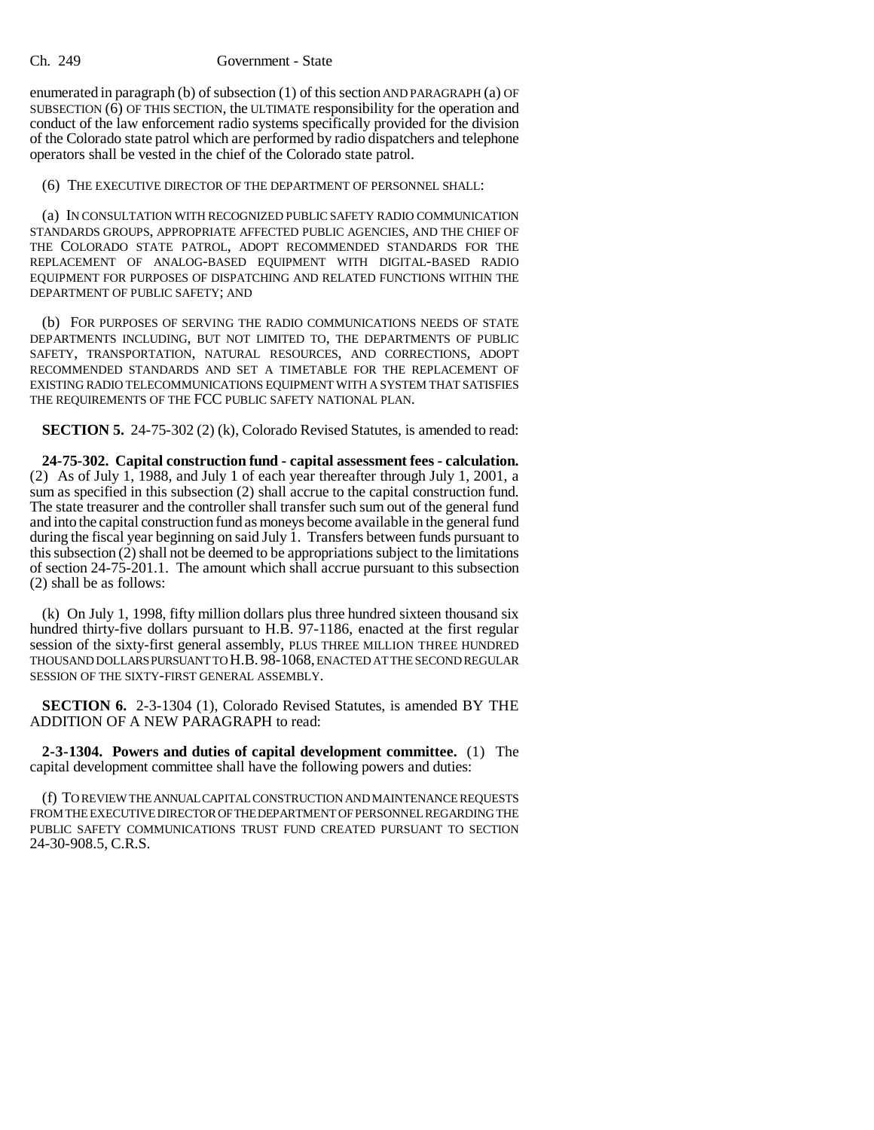## Ch. 249 Government - State

enumerated in paragraph (b) of subsection (1) of this section AND PARAGRAPH (a) OF SUBSECTION  $(6)$  OF THIS SECTION, the ULTIMATE responsibility for the operation and conduct of the law enforcement radio systems specifically provided for the division of the Colorado state patrol which are performed by radio dispatchers and telephone operators shall be vested in the chief of the Colorado state patrol.

(6) THE EXECUTIVE DIRECTOR OF THE DEPARTMENT OF PERSONNEL SHALL:

(a) IN CONSULTATION WITH RECOGNIZED PUBLIC SAFETY RADIO COMMUNICATION STANDARDS GROUPS, APPROPRIATE AFFECTED PUBLIC AGENCIES, AND THE CHIEF OF THE COLORADO STATE PATROL, ADOPT RECOMMENDED STANDARDS FOR THE REPLACEMENT OF ANALOG-BASED EQUIPMENT WITH DIGITAL-BASED RADIO EQUIPMENT FOR PURPOSES OF DISPATCHING AND RELATED FUNCTIONS WITHIN THE DEPARTMENT OF PUBLIC SAFETY; AND

(b) FOR PURPOSES OF SERVING THE RADIO COMMUNICATIONS NEEDS OF STATE DEPARTMENTS INCLUDING, BUT NOT LIMITED TO, THE DEPARTMENTS OF PUBLIC SAFETY, TRANSPORTATION, NATURAL RESOURCES, AND CORRECTIONS, ADOPT RECOMMENDED STANDARDS AND SET A TIMETABLE FOR THE REPLACEMENT OF EXISTING RADIO TELECOMMUNICATIONS EQUIPMENT WITH A SYSTEM THAT SATISFIES THE REQUIREMENTS OF THE FCC PUBLIC SAFETY NATIONAL PLAN.

**SECTION 5.** 24-75-302 (2) (k), Colorado Revised Statutes, is amended to read:

**24-75-302. Capital construction fund - capital assessment fees - calculation.** (2) As of July 1, 1988, and July 1 of each year thereafter through July 1, 2001, a sum as specified in this subsection (2) shall accrue to the capital construction fund. The state treasurer and the controller shall transfer such sum out of the general fund and into the capital construction fund as moneys become available in the general fund during the fiscal year beginning on said July 1. Transfers between funds pursuant to this subsection (2) shall not be deemed to be appropriations subject to the limitations of section 24-75-201.1. The amount which shall accrue pursuant to this subsection (2) shall be as follows:

(k) On July 1, 1998, fifty million dollars plus three hundred sixteen thousand six hundred thirty-five dollars pursuant to H.B. 97-1186, enacted at the first regular session of the sixty-first general assembly, PLUS THREE MILLION THREE HUNDRED THOUSAND DOLLARS PURSUANT TO H.B. 98-1068, ENACTED AT THE SECOND REGULAR SESSION OF THE SIXTY-FIRST GENERAL ASSEMBLY.

**SECTION 6.** 2-3-1304 (1), Colorado Revised Statutes, is amended BY THE ADDITION OF A NEW PARAGRAPH to read:

**2-3-1304. Powers and duties of capital development committee.** (1) The capital development committee shall have the following powers and duties:

(f) TO REVIEW THE ANNUAL CAPITAL CONSTRUCTION AND MAINTENANCE REQUESTS FROM THE EXECUTIVE DIRECTOR OF THE DEPARTMENT OF PERSONNEL REGARDING THE PUBLIC SAFETY COMMUNICATIONS TRUST FUND CREATED PURSUANT TO SECTION 24-30-908.5, C.R.S.